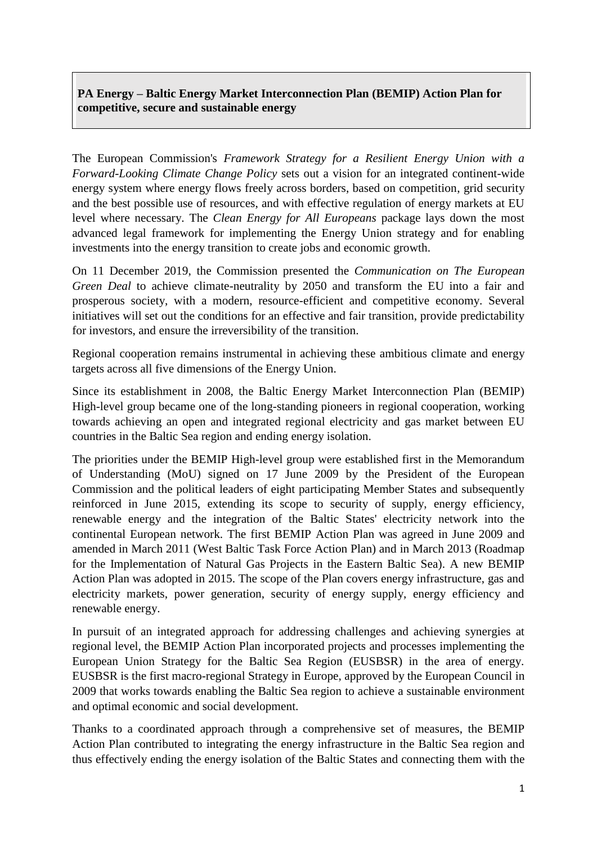# **PA Energy – Baltic Energy Market Interconnection Plan (BEMIP) Action Plan for competitive, secure and sustainable energy**

The European Commission's *Framework Strategy for a Resilient Energy Union with a Forward-Looking Climate Change Policy* sets out a vision for an integrated continent-wide energy system where energy flows freely across borders, based on competition, grid security and the best possible use of resources, and with effective regulation of energy markets at EU level where necessary. The *Clean Energy for All Europeans* package lays down the most advanced legal framework for implementing the Energy Union strategy and for enabling investments into the energy transition to create jobs and economic growth.

On 11 December 2019, the Commission presented the *Communication on The European Green Deal* to achieve climate-neutrality by 2050 and transform the EU into a fair and prosperous society, with a modern, resource-efficient and competitive economy. Several initiatives will set out the conditions for an effective and fair transition, provide predictability for investors, and ensure the irreversibility of the transition.

Regional cooperation remains instrumental in achieving these ambitious climate and energy targets across all five dimensions of the Energy Union.

Since its establishment in 2008, the Baltic Energy Market Interconnection Plan (BEMIP) High-level group became one of the long-standing pioneers in regional cooperation, working towards achieving an open and integrated regional electricity and gas market between EU countries in the Baltic Sea region and ending energy isolation.

The priorities under the BEMIP High-level group were established first in the Memorandum of Understanding (MoU) signed on 17 June 2009 by the President of the European Commission and the political leaders of eight participating Member States and subsequently reinforced in June 2015, extending its scope to security of supply, energy efficiency, renewable energy and the integration of the Baltic States' electricity network into the continental European network. The first BEMIP Action Plan was agreed in June 2009 and amended in March 2011 (West Baltic Task Force Action Plan) and in March 2013 (Roadmap for the Implementation of Natural Gas Projects in the Eastern Baltic Sea). A new BEMIP Action Plan was adopted in 2015. The scope of the Plan covers energy infrastructure, gas and electricity markets, power generation, security of energy supply, energy efficiency and renewable energy.

In pursuit of an integrated approach for addressing challenges and achieving synergies at regional level, the BEMIP Action Plan incorporated projects and processes implementing the European Union Strategy for the Baltic Sea Region (EUSBSR) in the area of energy. EUSBSR is the first macro-regional Strategy in Europe, [approved by the European Council](http://www.consilium.europa.eu/uedocs/cms_data/docs/pressdata/en/ec/110889.pdf) in 2009 that works towards enabling the Baltic Sea region to achieve a sustainable environment and optimal economic and social development.

Thanks to a coordinated approach through a comprehensive set of measures, the BEMIP Action Plan contributed to integrating the energy infrastructure in the Baltic Sea region and thus effectively ending the energy isolation of the Baltic States and connecting them with the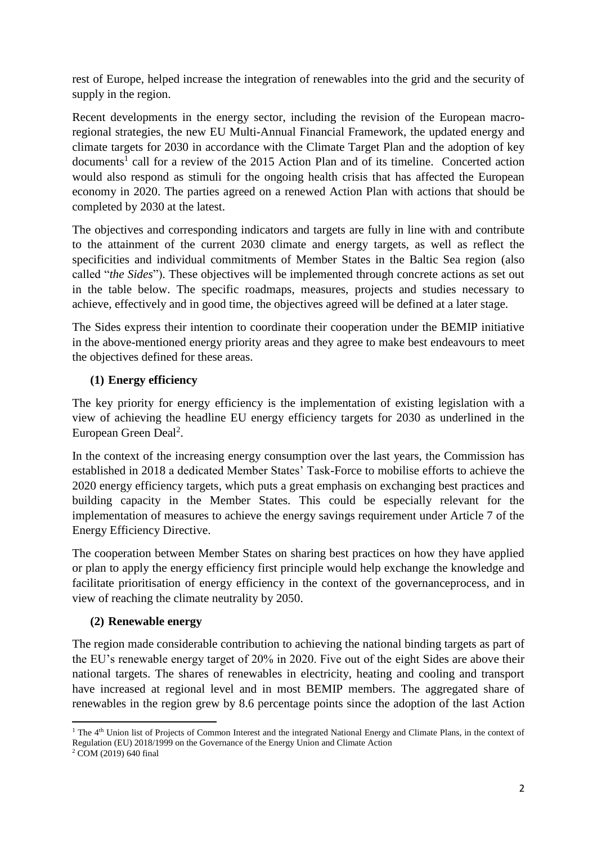rest of Europe, helped increase the integration of renewables into the grid and the security of supply in the region.

Recent developments in the energy sector, including the revision of the European macroregional strategies, the new EU Multi-Annual Financial Framework, the updated energy and climate targets for 2030 in accordance with the Climate Target Plan and the adoption of key documents<sup>1</sup> call for a review of the 2015 Action Plan and of its timeline. Concerted action would also respond as stimuli for the ongoing health crisis that has affected the European economy in 2020. The parties agreed on a renewed Action Plan with actions that should be completed by 2030 at the latest.

The objectives and corresponding indicators and targets are fully in line with and contribute to the attainment of the current 2030 climate and energy targets, as well as reflect the specificities and individual commitments of Member States in the Baltic Sea region (also called "*the Sides*"). These objectives will be implemented through concrete actions as set out in the table below. The specific roadmaps, measures, projects and studies necessary to achieve, effectively and in good time, the objectives agreed will be defined at a later stage.

The Sides express their intention to coordinate their cooperation under the BEMIP initiative in the above-mentioned energy priority areas and they agree to make best endeavours to meet the objectives defined for these areas.

# **(1) Energy efficiency**

The key priority for energy efficiency is the implementation of existing legislation with a view of achieving the headline EU energy efficiency targets for 2030 as underlined in the European Green Deal<sup>2</sup>.

In the context of the increasing energy consumption over the last years, the Commission has established in 2018 a dedicated Member States' Task-Force to mobilise efforts to achieve the 2020 energy efficiency targets, which puts a great emphasis on exchanging best practices and building capacity in the Member States. This could be especially relevant for the implementation of measures to achieve the energy savings requirement under Article 7 of the Energy Efficiency Directive.

The cooperation between Member States on sharing best practices on how they have applied or plan to apply the energy efficiency first principle would help exchange the knowledge and facilitate prioritisation of energy efficiency in the context of the governanceprocess, and in view of reaching the climate neutrality by 2050.

# **(2) Renewable energy**

The region made considerable contribution to achieving the national binding targets as part of the EU's renewable energy target of 20% in 2020. Five out of the eight Sides are above their national targets. The shares of renewables in electricity, heating and cooling and transport have increased at regional level and in most BEMIP members. The aggregated share of renewables in the region grew by 8.6 percentage points since the adoption of the last Action

**<sup>.</sup>** <sup>1</sup> The 4<sup>th</sup> Union list of Projects of Common Interest and the integrated National Energy and Climate Plans, in the context of Regulation (EU) 2018/1999 on the Governance of the Energy Union and Climate Action

<sup>2</sup> COM (2019) 640 final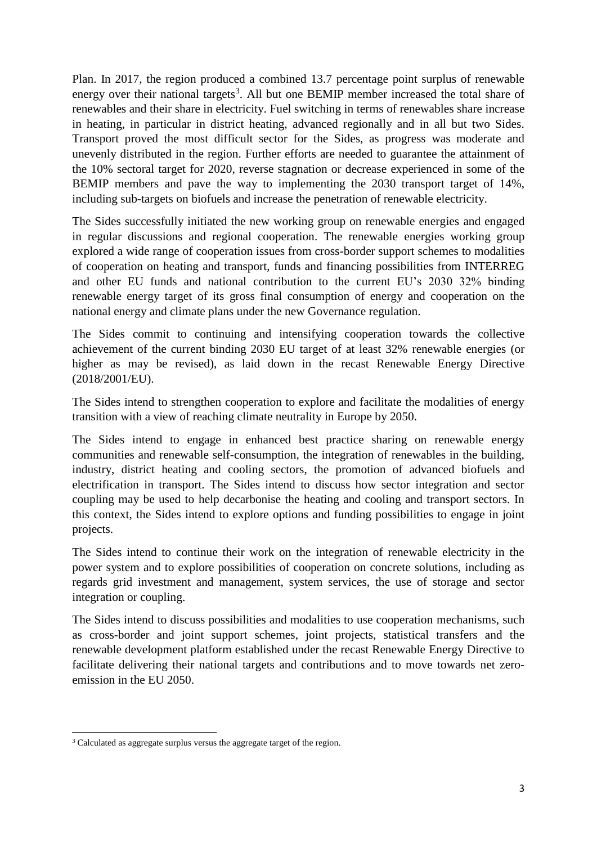Plan. In 2017, the region produced a combined 13.7 percentage point surplus of renewable energy over their national targets<sup>3</sup>. All but one BEMIP member increased the total share of renewables and their share in electricity. Fuel switching in terms of renewables share increase in heating, in particular in district heating, advanced regionally and in all but two Sides. Transport proved the most difficult sector for the Sides, as progress was moderate and unevenly distributed in the region. Further efforts are needed to guarantee the attainment of the 10% sectoral target for 2020, reverse stagnation or decrease experienced in some of the BEMIP members and pave the way to implementing the 2030 transport target of 14%, including sub-targets on biofuels and increase the penetration of renewable electricity.

The Sides successfully initiated the new working group on renewable energies and engaged in regular discussions and regional cooperation. The renewable energies working group explored a wide range of cooperation issues from cross-border support schemes to modalities of cooperation on heating and transport, funds and financing possibilities from INTERREG and other EU funds and national contribution to the current EU's 2030 32% binding renewable energy target of its gross final consumption of energy and cooperation on the national energy and climate plans under the new Governance regulation.

The Sides commit to continuing and intensifying cooperation towards the collective achievement of the current binding 2030 EU target of at least 32% renewable energies (or higher as may be revised), as laid down in the recast Renewable Energy Directive (2018/2001/EU).

The Sides intend to strengthen cooperation to explore and facilitate the modalities of energy transition with a view of reaching climate neutrality in Europe by 2050.

The Sides intend to engage in enhanced best practice sharing on renewable energy communities and renewable self-consumption, the integration of renewables in the building, industry, district heating and cooling sectors, the promotion of advanced biofuels and electrification in transport. The Sides intend to discuss how sector integration and sector coupling may be used to help decarbonise the heating and cooling and transport sectors. In this context, the Sides intend to explore options and funding possibilities to engage in joint projects.

The Sides intend to continue their work on the integration of renewable electricity in the power system and to explore possibilities of cooperation on concrete solutions, including as regards grid investment and management, system services, the use of storage and sector integration or coupling.

The Sides intend to discuss possibilities and modalities to use cooperation mechanisms, such as cross-border and joint support schemes, joint projects, statistical transfers and the renewable development platform established under the recast Renewable Energy Directive to facilitate delivering their national targets and contributions and to move towards net zeroemission in the EU 2050.

 $\overline{a}$  $3$  Calculated as aggregate surplus versus the aggregate target of the region.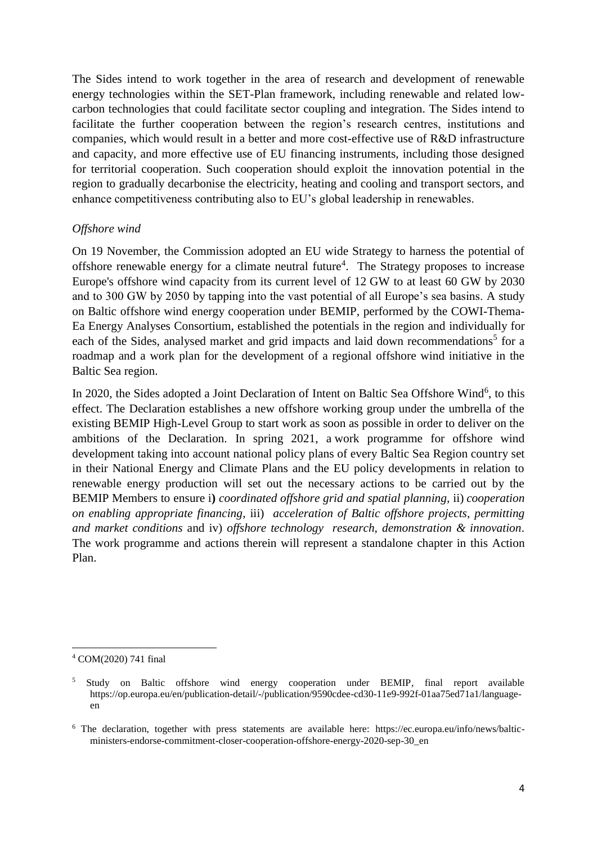The Sides intend to work together in the area of research and development of renewable energy technologies within the SET-Plan framework, including renewable and related lowcarbon technologies that could facilitate sector coupling and integration. The Sides intend to facilitate the further cooperation between the region's research centres, institutions and companies, which would result in a better and more cost-effective use of R&D infrastructure and capacity, and more effective use of EU financing instruments, including those designed for territorial cooperation. Such cooperation should exploit the innovation potential in the region to gradually decarbonise the electricity, heating and cooling and transport sectors, and enhance competitiveness contributing also to EU's global leadership in renewables.

#### *Offshore wind*

On 19 November, the Commission adopted an EU wide Strategy to harness the potential of offshore renewable energy for a climate neutral future<sup>4</sup>. The Strategy proposes to increase Europe's offshore wind capacity from its current level of 12 GW to at least 60 GW by 2030 and to 300 GW by 2050 by tapping into the vast potential of all Europe's sea basins. A study on Baltic offshore wind energy cooperation under BEMIP, performed by the COWI-Thema-Ea Energy Analyses Consortium, established the potentials in the region and individually for each of the Sides, analysed market and grid impacts and laid down recommendations<sup>5</sup> for a roadmap and a work plan for the development of a regional offshore wind initiative in the Baltic Sea region.

In 2020, the Sides adopted a Joint Declaration of Intent on Baltic Sea Offshore Wind<sup>6</sup>, to this effect. The Declaration establishes a new offshore working group under the umbrella of the existing BEMIP High-Level Group to start work as soon as possible in order to deliver on the ambitions of the Declaration. In spring 2021, a work programme for offshore wind development taking into account national policy plans of every Baltic Sea Region country set in their National Energy and Climate Plans and the EU policy developments in relation to renewable energy production will set out the necessary actions to be carried out by the BEMIP Members to ensure i**)** *coordinated offshore grid and spatial planning,* ii) *cooperation on enabling appropriate financing*, iii) *acceleration of Baltic offshore projects, permitting and market conditions* and iv) *offshore technology research, demonstration & innovation*. The work programme and actions therein will represent a standalone chapter in this Action Plan.

**<sup>.</sup>** <sup>4</sup> COM(2020) 741 final

<sup>&</sup>lt;sup>5</sup> Study on Baltic offshore wind energy cooperation under BEMIP, final report available https://op.europa.eu/en/publication-detail/-/publication/9590cdee-cd30-11e9-992f-01aa75ed71a1/languageen

<sup>6</sup> The declaration, together with press statements are available here: https://ec.europa.eu/info/news/balticministers-endorse-commitment-closer-cooperation-offshore-energy-2020-sep-30\_en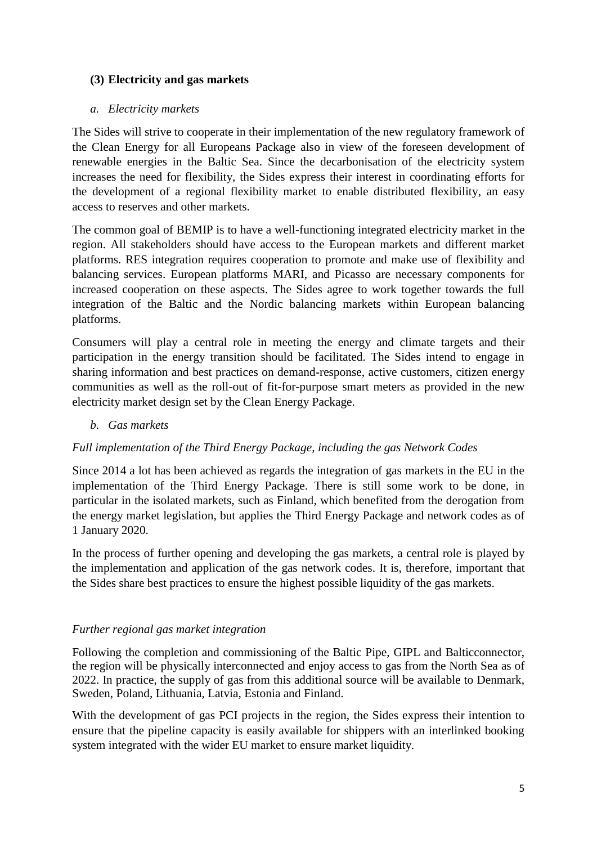## **(3) Electricity and gas markets**

#### *a. Electricity markets*

The Sides will strive to cooperate in their implementation of the new regulatory framework of the Clean Energy for all Europeans Package also in view of the foreseen development of renewable energies in the Baltic Sea. Since the decarbonisation of the electricity system increases the need for flexibility, the Sides express their interest in coordinating efforts for the development of a regional flexibility market to enable distributed flexibility, an easy access to reserves and other markets.

The common goal of BEMIP is to have a well-functioning integrated electricity market in the region. All stakeholders should have access to the European markets and different market platforms. RES integration requires cooperation to promote and make use of flexibility and balancing services. European platforms MARI, and Picasso are necessary components for increased cooperation on these aspects. The Sides agree to work together towards the full integration of the Baltic and the Nordic balancing markets within European balancing platforms.

Consumers will play a central role in meeting the energy and climate targets and their participation in the energy transition should be facilitated. The Sides intend to engage in sharing information and best practices on demand-response, active customers, citizen energy communities as well as the roll-out of fit-for-purpose smart meters as provided in the new electricity market design set by the Clean Energy Package.

#### *b. Gas markets*

### *Full implementation of the Third Energy Package, including the gas Network Codes*

Since 2014 a lot has been achieved as regards the integration of gas markets in the EU in the implementation of the Third Energy Package. There is still some work to be done, in particular in the isolated markets, such as Finland, which benefited from the derogation from the energy market legislation, but applies the Third Energy Package and network codes as of 1 January 2020.

In the process of further opening and developing the gas markets, a central role is played by the implementation and application of the gas network codes. It is, therefore, important that the Sides share best practices to ensure the highest possible liquidity of the gas markets.

### *Further regional gas market integration*

Following the completion and commissioning of the Baltic Pipe, GIPL and Balticconnector, the region will be physically interconnected and enjoy access to gas from the North Sea as of 2022. In practice, the supply of gas from this additional source will be available to Denmark, Sweden, Poland, Lithuania, Latvia, Estonia and Finland.

With the development of gas PCI projects in the region, the Sides express their intention to ensure that the pipeline capacity is easily available for shippers with an interlinked booking system integrated with the wider EU market to ensure market liquidity.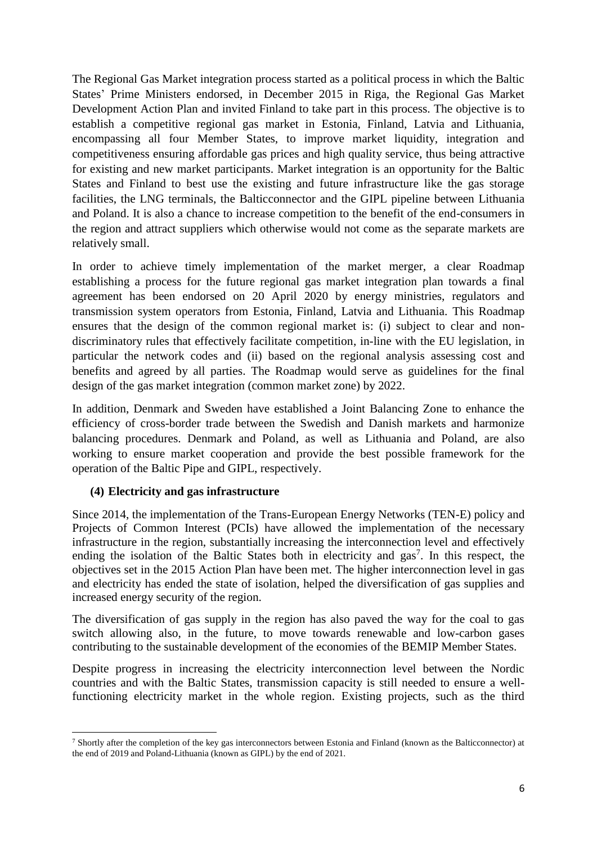The Regional Gas Market integration process started as a political process in which the Baltic States' Prime Ministers endorsed, in December 2015 in Riga, the Regional Gas Market Development Action Plan and invited Finland to take part in this process. The objective is to establish a competitive regional gas market in Estonia, Finland, Latvia and Lithuania, encompassing all four Member States, to improve market liquidity, integration and competitiveness ensuring affordable gas prices and high quality service, thus being attractive for existing and new market participants. Market integration is an opportunity for the Baltic States and Finland to best use the existing and future infrastructure like the gas storage facilities, the LNG terminals, the Balticconnector and the GIPL pipeline between Lithuania and Poland. It is also a chance to increase competition to the benefit of the end-consumers in the region and attract suppliers which otherwise would not come as the separate markets are relatively small.

In order to achieve timely implementation of the market merger, a clear Roadmap establishing a process for the future regional gas market integration plan towards a final agreement has been endorsed on 20 April 2020 by energy ministries, regulators and transmission system operators from Estonia, Finland, Latvia and Lithuania. This Roadmap ensures that the design of the common regional market is: (i) subject to clear and nondiscriminatory rules that effectively facilitate competition, in-line with the EU legislation, in particular the network codes and (ii) based on the regional analysis assessing cost and benefits and agreed by all parties. The Roadmap would serve as guidelines for the final design of the gas market integration (common market zone) by 2022.

In addition, Denmark and Sweden have established a Joint Balancing Zone to enhance the efficiency of cross-border trade between the Swedish and Danish markets and harmonize balancing procedures. Denmark and Poland, as well as Lithuania and Poland, are also working to ensure market cooperation and provide the best possible framework for the operation of the Baltic Pipe and GIPL, respectively.

### **(4) Electricity and gas infrastructure**

Since 2014, the implementation of the Trans-European Energy Networks (TEN-E) policy and Projects of Common Interest (PCIs) have allowed the implementation of the necessary infrastructure in the region, substantially increasing the interconnection level and effectively ending the isolation of the Baltic States both in electricity and gas<sup>7</sup>. In this respect, the objectives set in the 2015 Action Plan have been met. The higher interconnection level in gas and electricity has ended the state of isolation, helped the diversification of gas supplies and increased energy security of the region.

The diversification of gas supply in the region has also paved the way for the coal to gas switch allowing also, in the future, to move towards renewable and low-carbon gases contributing to the sustainable development of the economies of the BEMIP Member States.

Despite progress in increasing the electricity interconnection level between the Nordic countries and with the Baltic States, transmission capacity is still needed to ensure a wellfunctioning electricity market in the whole region. Existing projects, such as the third

 $\overline{a}$ <sup>7</sup> Shortly after the completion of the key gas interconnectors between Estonia and Finland (known as the Balticconnector) at the end of 2019 and Poland-Lithuania (known as GIPL) by the end of 2021.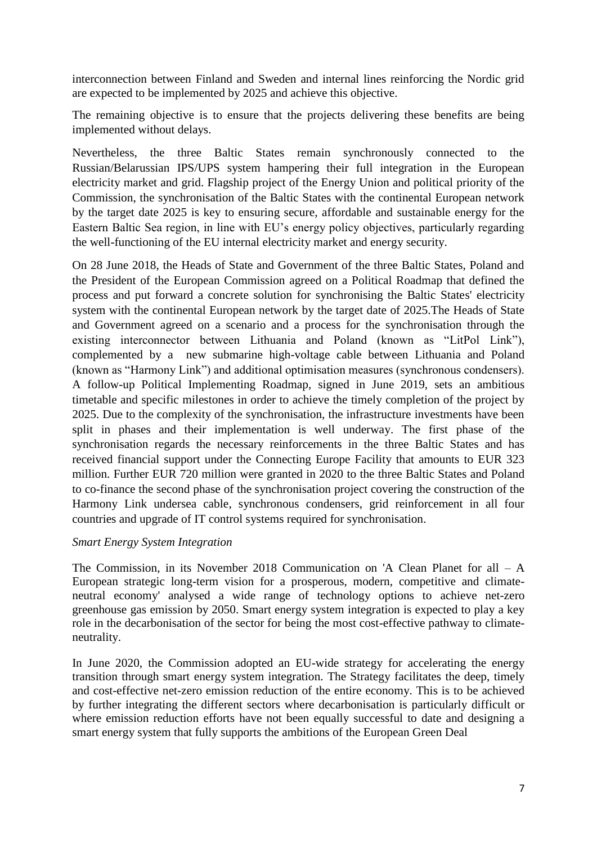interconnection between Finland and Sweden and internal lines reinforcing the Nordic grid are expected to be implemented by 2025 and achieve this objective.

The remaining objective is to ensure that the projects delivering these benefits are being implemented without delays.

Nevertheless, the three Baltic States remain synchronously connected to the Russian/Belarussian IPS/UPS system hampering their full integration in the European electricity market and grid. Flagship project of the Energy Union and political priority of the Commission, the synchronisation of the Baltic States with the continental European network by the target date 2025 is key to ensuring secure, affordable and sustainable energy for the Eastern Baltic Sea region, in line with EU's energy policy objectives, particularly regarding the well-functioning of the EU internal electricity market and energy security.

On 28 June 2018, the Heads of State and Government of the three Baltic States, Poland and the President of the European Commission agreed on a Political Roadmap that defined the process and put forward a concrete solution for synchronising the Baltic States' electricity system with the continental European network by the target date of 2025.The Heads of State and Government agreed on a scenario and a process for the synchronisation through the existing interconnector between Lithuania and Poland (known as "LitPol Link"), complemented by a new submarine high-voltage cable between Lithuania and Poland (known as "Harmony Link") and additional optimisation measures (synchronous condensers). A follow-up Political Implementing Roadmap, signed in June 2019, sets an ambitious timetable and specific milestones in order to achieve the timely completion of the project by 2025. Due to the complexity of the synchronisation, the infrastructure investments have been split in phases and their implementation is well underway. The first phase of the synchronisation regards the necessary reinforcements in the three Baltic States and has received financial support under the Connecting Europe Facility that amounts to EUR 323 million. Further EUR 720 million were granted in 2020 to the three Baltic States and Poland to co-finance the second phase of the synchronisation project covering the construction of the Harmony Link undersea cable, synchronous condensers, grid reinforcement in all four countries and upgrade of IT control systems required for synchronisation.

#### *Smart Energy System Integration*

The Commission, in its November 2018 Communication on 'A Clean Planet for all  $- A$ European strategic long-term vision for a prosperous, modern, competitive and climateneutral economy' analysed a wide range of technology options to achieve net-zero greenhouse gas emission by 2050. Smart energy system integration is expected to play a key role in the decarbonisation of the sector for being the most cost-effective pathway to climateneutrality.

In June 2020, the Commission adopted an EU-wide strategy for accelerating the energy transition through smart energy system integration. The Strategy facilitates the deep, timely and cost-effective net-zero emission reduction of the entire economy. This is to be achieved by further integrating the different sectors where decarbonisation is particularly difficult or where emission reduction efforts have not been equally successful to date and designing a smart energy system that fully supports the ambitions of the European Green Deal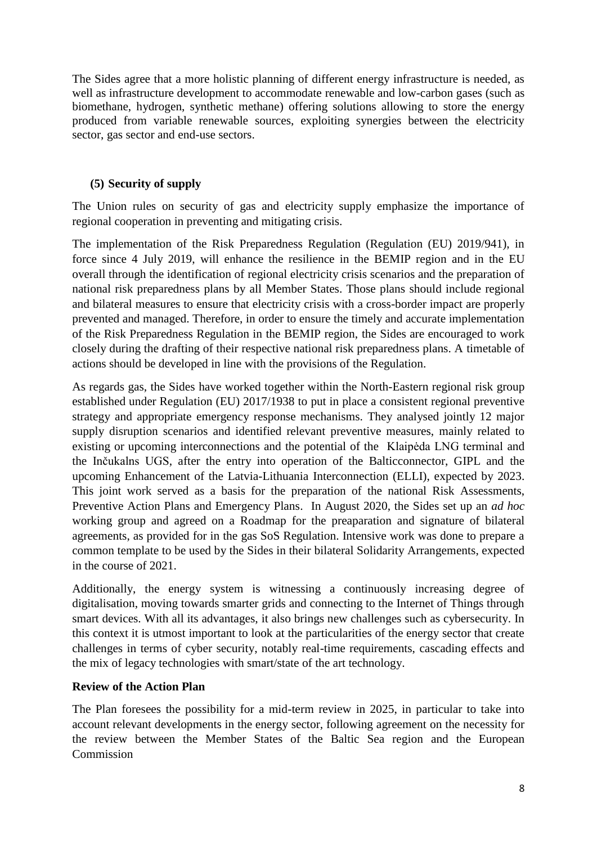The Sides agree that a more holistic planning of different energy infrastructure is needed, as well as infrastructure development to accommodate renewable and low-carbon gases (such as biomethane, hydrogen, synthetic methane) offering solutions allowing to store the energy produced from variable renewable sources, exploiting synergies between the electricity sector, gas sector and end-use sectors.

## **(5) Security of supply**

The Union rules on security of gas and electricity supply emphasize the importance of regional cooperation in preventing and mitigating crisis.

The implementation of the Risk Preparedness Regulation (Regulation (EU) 2019/941), in force since 4 July 2019, will enhance the resilience in the BEMIP region and in the EU overall through the identification of regional electricity crisis scenarios and the preparation of national risk preparedness plans by all Member States. Those plans should include regional and bilateral measures to ensure that electricity crisis with a cross-border impact are properly prevented and managed. Therefore, in order to ensure the timely and accurate implementation of the Risk Preparedness Regulation in the BEMIP region, the Sides are encouraged to work closely during the drafting of their respective national risk preparedness plans. A timetable of actions should be developed in line with the provisions of the Regulation.

As regards gas, the Sides have worked together within the North-Eastern regional risk group established under Regulation (EU) 2017/1938 to put in place a consistent regional preventive strategy and appropriate emergency response mechanisms. They analysed jointly 12 major supply disruption scenarios and identified relevant preventive measures, mainly related to existing or upcoming interconnections and the potential of the Klaipėda LNG terminal and the Inčukalns UGS, after the entry into operation of the Balticconnector, GIPL and the upcoming Enhancement of the Latvia-Lithuania Interconnection (ELLI), expected by 2023. This joint work served as a basis for the preparation of the national Risk Assessments, Preventive Action Plans and Emergency Plans. In August 2020, the Sides set up an *ad hoc* working group and agreed on a Roadmap for the preaparation and signature of bilateral agreements, as provided for in the gas SoS Regulation. Intensive work was done to prepare a common template to be used by the Sides in their bilateral Solidarity Arrangements, expected in the course of 2021.

Additionally, the energy system is witnessing a continuously increasing degree of digitalisation, moving towards smarter grids and connecting to the Internet of Things through smart devices. With all its advantages, it also brings new challenges such as cybersecurity. In this context it is utmost important to look at the particularities of the energy sector that create challenges in terms of cyber security, notably real-time requirements, cascading effects and the mix of legacy technologies with smart/state of the art technology.

### **Review of the Action Plan**

The Plan foresees the possibility for a mid-term review in 2025, in particular to take into account relevant developments in the energy sector, following agreement on the necessity for the review between the Member States of the Baltic Sea region and the European **Commission**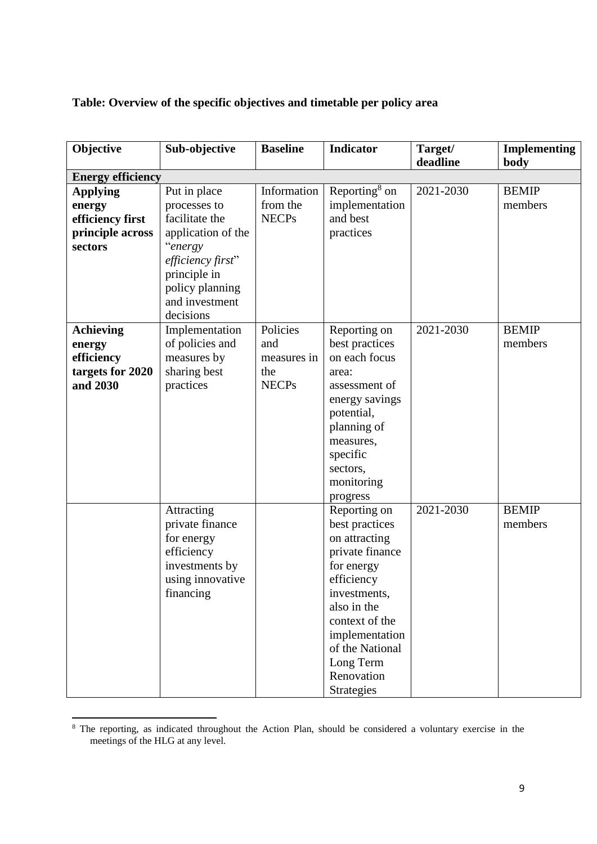**Table: Overview of the specific objectives and timetable per policy area**

| Objective                | Sub-objective                | <b>Baseline</b> | <b>Indicator</b>          | Target/   | <b>Implementing</b> |
|--------------------------|------------------------------|-----------------|---------------------------|-----------|---------------------|
|                          |                              |                 |                           | deadline  | body                |
| <b>Energy efficiency</b> |                              |                 |                           |           |                     |
| <b>Applying</b>          | Put in place                 | Information     | Reporting <sup>8</sup> on | 2021-2030 | <b>BEMIP</b>        |
| energy                   | processes to                 | from the        | implementation            |           | members             |
| efficiency first         | facilitate the               | <b>NECPs</b>    | and best                  |           |                     |
| principle across         | application of the           |                 | practices                 |           |                     |
| sectors                  | "energy                      |                 |                           |           |                     |
|                          | efficiency first"            |                 |                           |           |                     |
|                          | principle in                 |                 |                           |           |                     |
|                          | policy planning              |                 |                           |           |                     |
|                          | and investment               |                 |                           |           |                     |
|                          | decisions                    |                 |                           |           |                     |
| <b>Achieving</b>         | Implementation               | Policies        | Reporting on              | 2021-2030 | <b>BEMIP</b>        |
| energy                   | of policies and              | and             | best practices            |           | members             |
| efficiency               | measures by                  | measures in     | on each focus             |           |                     |
| targets for 2020         | sharing best                 | the             | area:                     |           |                     |
| and 2030                 | practices                    | <b>NECPs</b>    | assessment of             |           |                     |
|                          |                              |                 | energy savings            |           |                     |
|                          |                              |                 | potential,                |           |                     |
|                          |                              |                 | planning of               |           |                     |
|                          |                              |                 | measures,                 |           |                     |
|                          |                              |                 | specific                  |           |                     |
|                          |                              |                 | sectors,                  |           |                     |
|                          |                              |                 | monitoring                |           |                     |
|                          |                              |                 | progress                  |           |                     |
|                          | Attracting                   |                 | Reporting on              | 2021-2030 | <b>BEMIP</b>        |
|                          | private finance              |                 | best practices            |           | members             |
|                          | for energy                   |                 | on attracting             |           |                     |
|                          | efficiency<br>investments by |                 | private finance           |           |                     |
|                          | using innovative             |                 | for energy<br>efficiency  |           |                     |
|                          | financing                    |                 | investments,              |           |                     |
|                          |                              |                 | also in the               |           |                     |
|                          |                              |                 | context of the            |           |                     |
|                          |                              |                 | implementation            |           |                     |
|                          |                              |                 | of the National           |           |                     |
|                          |                              |                 | Long Term                 |           |                     |
|                          |                              |                 | Renovation                |           |                     |
|                          |                              |                 | <b>Strategies</b>         |           |                     |

<sup>&</sup>lt;sup>8</sup> The reporting, as indicated throughout the Action Plan, should be considered a voluntary exercise in the meetings of the HLG at any level.

1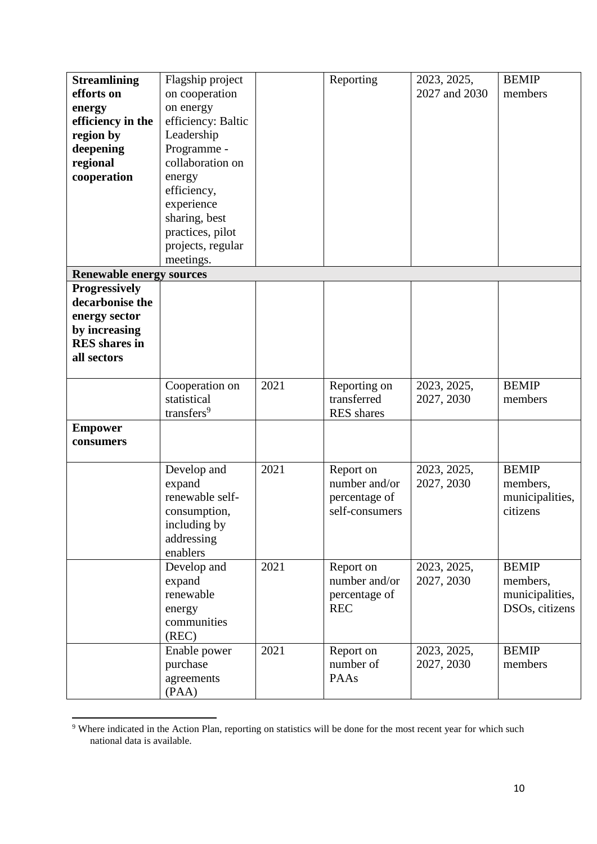| <b>Streamlining</b><br>efforts on<br>energy<br>efficiency in the<br>region by<br>deepening<br>regional<br>cooperation | Flagship project<br>on cooperation<br>on energy<br>efficiency: Baltic<br>Leadership<br>Programme -<br>collaboration on<br>energy<br>efficiency,<br>experience<br>sharing, best<br>practices, pilot<br>projects, regular |      | Reporting                                                     | 2023, 2025,<br>2027 and 2030 | <b>BEMIP</b><br>members                                       |
|-----------------------------------------------------------------------------------------------------------------------|-------------------------------------------------------------------------------------------------------------------------------------------------------------------------------------------------------------------------|------|---------------------------------------------------------------|------------------------------|---------------------------------------------------------------|
|                                                                                                                       | meetings.                                                                                                                                                                                                               |      |                                                               |                              |                                                               |
| <b>Renewable energy sources</b>                                                                                       |                                                                                                                                                                                                                         |      |                                                               |                              |                                                               |
| <b>Progressively</b><br>decarbonise the<br>energy sector<br>by increasing<br><b>RES</b> shares in<br>all sectors      |                                                                                                                                                                                                                         |      |                                                               |                              |                                                               |
|                                                                                                                       | Cooperation on<br>statistical<br>transfers <sup>9</sup>                                                                                                                                                                 | 2021 | Reporting on<br>transferred<br><b>RES</b> shares              | 2023, 2025,<br>2027, 2030    | <b>BEMIP</b><br>members                                       |
| <b>Empower</b><br>consumers                                                                                           |                                                                                                                                                                                                                         |      |                                                               |                              |                                                               |
|                                                                                                                       | Develop and<br>expand<br>renewable self-<br>consumption,<br>including by<br>addressing<br>enablers                                                                                                                      | 2021 | Report on<br>number and/or<br>percentage of<br>self-consumers | 2023, 2025,<br>2027, 2030    | <b>BEMIP</b><br>members,<br>municipalities,<br>citizens       |
|                                                                                                                       | Develop and<br>expand<br>renewable<br>energy<br>communities<br>(REC)                                                                                                                                                    | 2021 | Report on<br>number and/or<br>percentage of<br><b>REC</b>     | 2023, 2025,<br>2027, 2030    | <b>BEMIP</b><br>members,<br>municipalities,<br>DSOs, citizens |
|                                                                                                                       | Enable power<br>purchase<br>agreements<br>(PAA)                                                                                                                                                                         | 2021 | Report on<br>number of<br>PAAs                                | 2023, 2025,<br>2027, 2030    | <b>BEMIP</b><br>members                                       |

<sup>&</sup>lt;sup>9</sup> Where indicated in the Action Plan, reporting on statistics will be done for the most recent year for which such national data is available.

1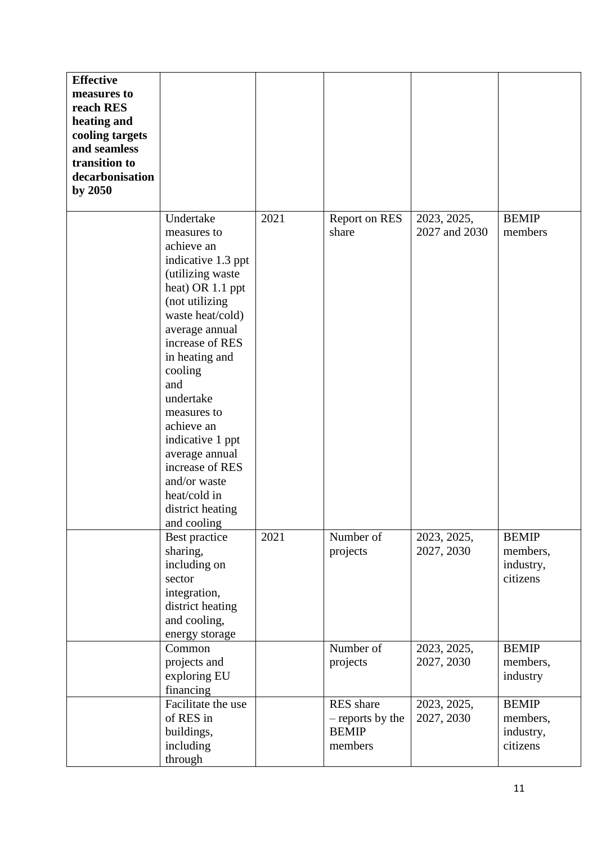| <b>Effective</b><br>measures to<br>reach RES<br>heating and<br>cooling targets<br>and seamless<br>transition to<br>decarbonisation<br>by 2050 |                                                                                                                                                                                                                                                                                                                                                                                           |      |                                                                 |                              |                                                   |
|-----------------------------------------------------------------------------------------------------------------------------------------------|-------------------------------------------------------------------------------------------------------------------------------------------------------------------------------------------------------------------------------------------------------------------------------------------------------------------------------------------------------------------------------------------|------|-----------------------------------------------------------------|------------------------------|---------------------------------------------------|
|                                                                                                                                               | Undertake<br>measures to<br>achieve an<br>indicative 1.3 ppt<br>(utilizing waste<br>heat) OR 1.1 ppt<br>(not utilizing<br>waste heat/cold)<br>average annual<br>increase of RES<br>in heating and<br>cooling<br>and<br>undertake<br>measures to<br>achieve an<br>indicative 1 ppt<br>average annual<br>increase of RES<br>and/or waste<br>heat/cold in<br>district heating<br>and cooling | 2021 | Report on RES<br>share                                          | 2023, 2025,<br>2027 and 2030 | <b>BEMIP</b><br>members                           |
|                                                                                                                                               | Best practice<br>sharing,<br>including on<br>sector<br>integration,<br>district heating<br>and cooling,<br>energy storage                                                                                                                                                                                                                                                                 | 2021 | Number of<br>projects                                           | 2023, 2025,<br>2027, 2030    | <b>BEMIP</b><br>members,<br>industry,<br>citizens |
|                                                                                                                                               | Common<br>projects and<br>exploring EU<br>financing                                                                                                                                                                                                                                                                                                                                       |      | Number of<br>projects                                           | 2023, 2025,<br>2027, 2030    | <b>BEMIP</b><br>members,<br>industry              |
|                                                                                                                                               | Facilitate the use<br>of RES in<br>buildings,<br>including<br>through                                                                                                                                                                                                                                                                                                                     |      | <b>RES</b> share<br>- reports by the<br><b>BEMIP</b><br>members | 2023, 2025,<br>2027, 2030    | <b>BEMIP</b><br>members,<br>industry,<br>citizens |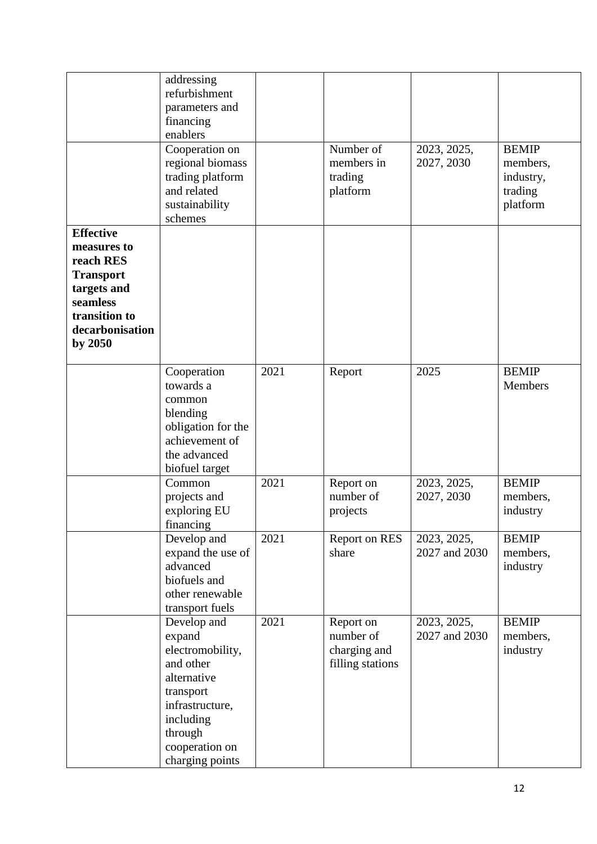|                  | addressing               |      |                  |               |              |
|------------------|--------------------------|------|------------------|---------------|--------------|
|                  | refurbishment            |      |                  |               |              |
|                  | parameters and           |      |                  |               |              |
|                  | financing                |      |                  |               |              |
|                  | enablers                 |      |                  |               |              |
|                  | Cooperation on           |      | Number of        | 2023, 2025,   | <b>BEMIP</b> |
|                  | regional biomass         |      | members in       | 2027, 2030    | members,     |
|                  | trading platform         |      | trading          |               | industry,    |
|                  | and related              |      | platform         |               | trading      |
|                  | sustainability           |      |                  |               | platform     |
|                  | schemes                  |      |                  |               |              |
| <b>Effective</b> |                          |      |                  |               |              |
| measures to      |                          |      |                  |               |              |
| reach RES        |                          |      |                  |               |              |
| <b>Transport</b> |                          |      |                  |               |              |
| targets and      |                          |      |                  |               |              |
| seamless         |                          |      |                  |               |              |
| transition to    |                          |      |                  |               |              |
| decarbonisation  |                          |      |                  |               |              |
| by 2050          |                          |      |                  |               |              |
|                  |                          |      |                  |               |              |
|                  | Cooperation              | 2021 | Report           | 2025          | <b>BEMIP</b> |
|                  | towards a                |      |                  |               | Members      |
|                  | common                   |      |                  |               |              |
|                  | blending                 |      |                  |               |              |
|                  | obligation for the       |      |                  |               |              |
|                  | achievement of           |      |                  |               |              |
|                  | the advanced             |      |                  |               |              |
|                  | biofuel target           |      |                  |               |              |
|                  | Common                   | 2021 | Report on        | 2023, 2025,   | <b>BEMIP</b> |
|                  | projects and             |      | number of        | 2027, 2030    | members,     |
|                  | exploring EU             |      | projects         |               | industry     |
|                  | financing<br>Develop and | 2021 | Report on RES    | 2023, 2025,   | <b>BEMIP</b> |
|                  | expand the use of        |      | share            | 2027 and 2030 | members,     |
|                  | advanced                 |      |                  |               | industry     |
|                  | biofuels and             |      |                  |               |              |
|                  | other renewable          |      |                  |               |              |
|                  | transport fuels          |      |                  |               |              |
|                  | Develop and              | 2021 | Report on        | 2023, 2025,   | <b>BEMIP</b> |
|                  | expand                   |      | number of        | 2027 and 2030 | members,     |
|                  | electromobility,         |      | charging and     |               | industry     |
|                  | and other                |      | filling stations |               |              |
|                  | alternative              |      |                  |               |              |
|                  | transport                |      |                  |               |              |
|                  | infrastructure,          |      |                  |               |              |
|                  | including                |      |                  |               |              |
|                  | through                  |      |                  |               |              |
|                  | cooperation on           |      |                  |               |              |
|                  | charging points          |      |                  |               |              |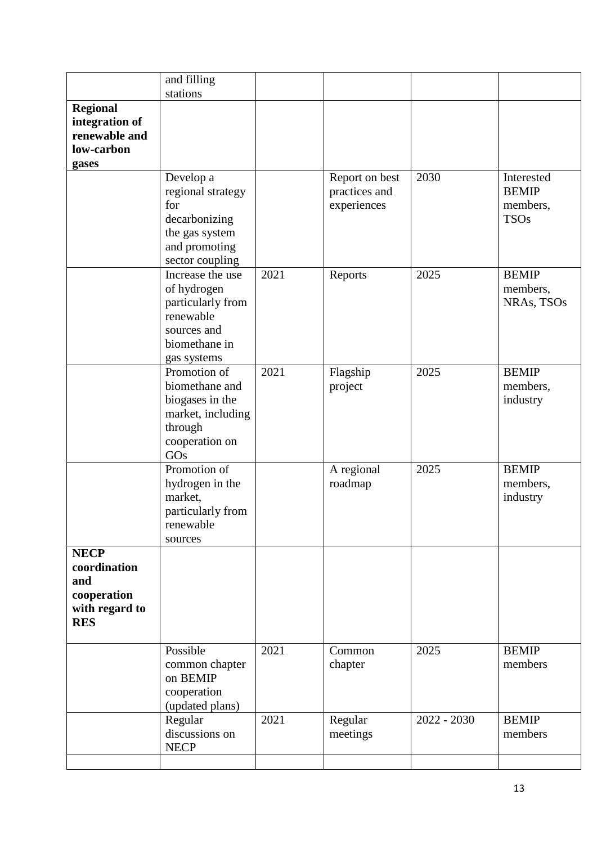|                                                                                   | and filling                                                                                                      |      |                                                |               |                                                       |
|-----------------------------------------------------------------------------------|------------------------------------------------------------------------------------------------------------------|------|------------------------------------------------|---------------|-------------------------------------------------------|
|                                                                                   | stations                                                                                                         |      |                                                |               |                                                       |
| <b>Regional</b><br>integration of<br>renewable and<br>low-carbon<br>gases         |                                                                                                                  |      |                                                |               |                                                       |
|                                                                                   | Develop a<br>regional strategy<br>for<br>decarbonizing<br>the gas system<br>and promoting<br>sector coupling     |      | Report on best<br>practices and<br>experiences | 2030          | Interested<br><b>BEMIP</b><br>members,<br><b>TSOs</b> |
|                                                                                   | Increase the use<br>of hydrogen<br>particularly from<br>renewable<br>sources and<br>biomethane in<br>gas systems | 2021 | Reports                                        | 2025          | <b>BEMIP</b><br>members,<br>NRAs, TSOs                |
|                                                                                   | Promotion of<br>biomethane and<br>biogases in the<br>market, including<br>through<br>cooperation on<br>GOs       | 2021 | Flagship<br>project                            | 2025          | <b>BEMIP</b><br>members,<br>industry                  |
|                                                                                   | Promotion of<br>hydrogen in the<br>market,<br>particularly from<br>renewable<br>sources                          |      | A regional<br>roadmap                          | 2025          | <b>BEMIP</b><br>members,<br>industry                  |
| <b>NECP</b><br>coordination<br>and<br>cooperation<br>with regard to<br><b>RES</b> |                                                                                                                  |      |                                                |               |                                                       |
|                                                                                   | Possible<br>common chapter<br>on BEMIP<br>cooperation<br>(updated plans)                                         | 2021 | Common<br>chapter                              | 2025          | <b>BEMIP</b><br>members                               |
|                                                                                   | Regular<br>discussions on<br><b>NECP</b>                                                                         | 2021 | Regular<br>meetings                            | $2022 - 2030$ | <b>BEMIP</b><br>members                               |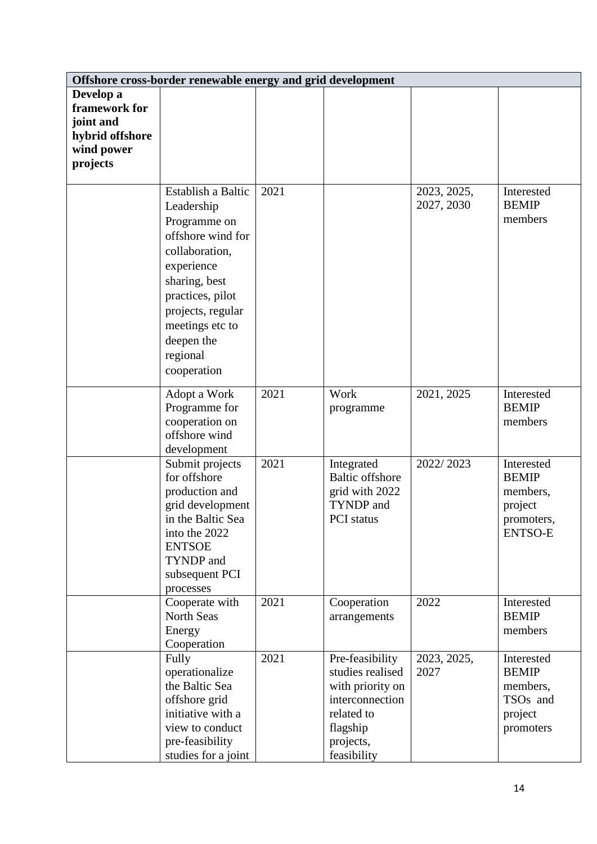|                                                                                      | Offshore cross-border renewable energy and grid development                                                                                                                                                                 |      |                                                                                                                                  |                           |                                                                                        |  |  |
|--------------------------------------------------------------------------------------|-----------------------------------------------------------------------------------------------------------------------------------------------------------------------------------------------------------------------------|------|----------------------------------------------------------------------------------------------------------------------------------|---------------------------|----------------------------------------------------------------------------------------|--|--|
| Develop a<br>framework for<br>joint and<br>hybrid offshore<br>wind power<br>projects |                                                                                                                                                                                                                             |      |                                                                                                                                  |                           |                                                                                        |  |  |
|                                                                                      | Establish a Baltic<br>Leadership<br>Programme on<br>offshore wind for<br>collaboration,<br>experience<br>sharing, best<br>practices, pilot<br>projects, regular<br>meetings etc to<br>deepen the<br>regional<br>cooperation | 2021 |                                                                                                                                  | 2023, 2025,<br>2027, 2030 | Interested<br><b>BEMIP</b><br>members                                                  |  |  |
|                                                                                      | Adopt a Work<br>Programme for<br>cooperation on<br>offshore wind<br>development                                                                                                                                             | 2021 | Work<br>programme                                                                                                                | 2021, 2025                | Interested<br><b>BEMIP</b><br>members                                                  |  |  |
|                                                                                      | Submit projects<br>for offshore<br>production and<br>grid development<br>in the Baltic Sea<br>into the 2022<br><b>ENTSOE</b><br>TYNDP and<br>subsequent PCI<br>processes                                                    | 2021 | Integrated<br><b>Baltic offshore</b><br>grid with 2022<br>TYNDP and<br>PCI status                                                | 2022/2023                 | Interested<br><b>BEMIP</b><br>members,<br>project<br>promoters,<br><b>ENTSO-E</b>      |  |  |
|                                                                                      | Cooperate with<br><b>North Seas</b><br>Energy<br>Cooperation                                                                                                                                                                | 2021 | Cooperation<br>arrangements                                                                                                      | 2022                      | Interested<br><b>BEMIP</b><br>members                                                  |  |  |
|                                                                                      | Fully<br>operationalize<br>the Baltic Sea<br>offshore grid<br>initiative with a<br>view to conduct<br>pre-feasibility<br>studies for a joint                                                                                | 2021 | Pre-feasibility<br>studies realised<br>with priority on<br>interconnection<br>related to<br>flagship<br>projects,<br>feasibility | 2023, 2025,<br>2027       | Interested<br><b>BEMIP</b><br>members,<br>TSO <sub>s</sub> and<br>project<br>promoters |  |  |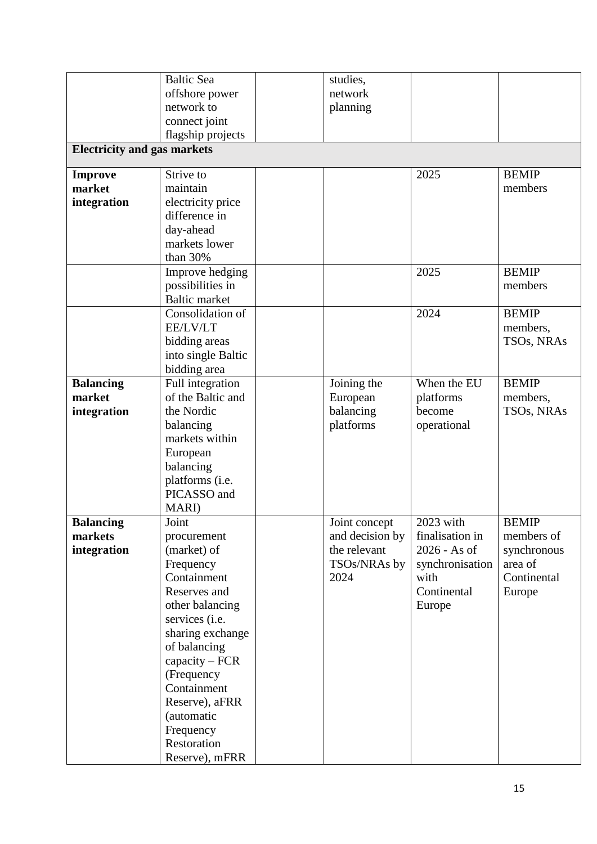|                                    | <b>Baltic Sea</b>    | studies,        |                 |              |
|------------------------------------|----------------------|-----------------|-----------------|--------------|
|                                    | offshore power       | network         |                 |              |
|                                    | network to           | planning        |                 |              |
|                                    | connect joint        |                 |                 |              |
|                                    | flagship projects    |                 |                 |              |
| <b>Electricity and gas markets</b> |                      |                 |                 |              |
| <b>Improve</b>                     | Strive to            |                 | 2025            | <b>BEMIP</b> |
| market                             | maintain             |                 |                 | members      |
| integration                        | electricity price    |                 |                 |              |
|                                    | difference in        |                 |                 |              |
|                                    | day-ahead            |                 |                 |              |
|                                    | markets lower        |                 |                 |              |
|                                    | than 30%             |                 |                 |              |
|                                    | Improve hedging      |                 | 2025            | <b>BEMIP</b> |
|                                    | possibilities in     |                 |                 | members      |
|                                    | <b>Baltic market</b> |                 |                 |              |
|                                    | Consolidation of     |                 | 2024            | <b>BEMIP</b> |
|                                    | EE/LV/LT             |                 |                 | members,     |
|                                    | bidding areas        |                 |                 | TSOs, NRAs   |
|                                    | into single Baltic   |                 |                 |              |
|                                    | bidding area         |                 |                 |              |
| <b>Balancing</b>                   | Full integration     | Joining the     | When the EU     | <b>BEMIP</b> |
| market                             | of the Baltic and    | European        | platforms       | members,     |
| integration                        | the Nordic           | balancing       | become          | TSOs, NRAs   |
|                                    | balancing            | platforms       | operational     |              |
|                                    | markets within       |                 |                 |              |
|                                    | European             |                 |                 |              |
|                                    | balancing            |                 |                 |              |
|                                    | platforms (i.e.      |                 |                 |              |
|                                    | PICASSO and          |                 |                 |              |
|                                    | MARI)                |                 |                 |              |
| <b>Balancing</b>                   | Joint                | Joint concept   | 2023 with       | <b>BEMIP</b> |
| markets                            | procurement          | and decision by | finalisation in | members of   |
| integration                        | (market) of          | the relevant    | 2026 - As of    | synchronous  |
|                                    | Frequency            | TSOs/NRAs by    | synchronisation | area of      |
|                                    | Containment          | 2024            | with            | Continental  |
|                                    | Reserves and         |                 | Continental     | Europe       |
|                                    | other balancing      |                 | Europe          |              |
|                                    | services (i.e.       |                 |                 |              |
|                                    | sharing exchange     |                 |                 |              |
|                                    | of balancing         |                 |                 |              |
|                                    | $capacity - FCR$     |                 |                 |              |
|                                    | (Frequency           |                 |                 |              |
|                                    | Containment          |                 |                 |              |
|                                    | Reserve), aFRR       |                 |                 |              |
|                                    | (automatic           |                 |                 |              |
|                                    | Frequency            |                 |                 |              |
|                                    | Restoration          |                 |                 |              |
|                                    | Reserve), mFRR       |                 |                 |              |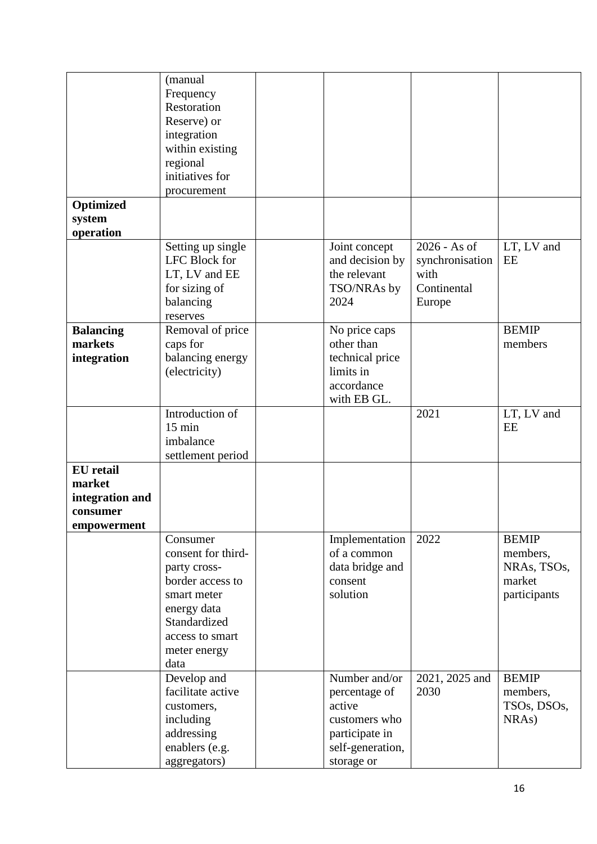|                                                                          | (manual<br>Frequency<br>Restoration<br>Reserve) or<br>integration<br>within existing                                                                        |                                                                                                               |                                                                  |                                                                   |
|--------------------------------------------------------------------------|-------------------------------------------------------------------------------------------------------------------------------------------------------------|---------------------------------------------------------------------------------------------------------------|------------------------------------------------------------------|-------------------------------------------------------------------|
|                                                                          | regional<br>initiatives for<br>procurement                                                                                                                  |                                                                                                               |                                                                  |                                                                   |
| Optimized<br>system                                                      |                                                                                                                                                             |                                                                                                               |                                                                  |                                                                   |
| operation                                                                |                                                                                                                                                             |                                                                                                               |                                                                  |                                                                   |
|                                                                          | Setting up single<br>LFC Block for<br>LT, LV and EE<br>for sizing of<br>balancing<br>reserves                                                               | Joint concept<br>and decision by<br>the relevant<br>TSO/NRAs by<br>2024                                       | 2026 - As of<br>synchronisation<br>with<br>Continental<br>Europe | LT, LV and<br>EE                                                  |
| <b>Balancing</b><br>markets<br>integration                               | Removal of price<br>caps for<br>balancing energy<br>(electricity)                                                                                           | No price caps<br>other than<br>technical price<br>limits in<br>accordance<br>with EB GL.                      |                                                                  | <b>BEMIP</b><br>members                                           |
|                                                                          | Introduction of<br>$15 \text{ min}$<br>imbalance<br>settlement period                                                                                       |                                                                                                               | 2021                                                             | LT, LV and<br>EE                                                  |
| <b>EU</b> retail<br>market<br>integration and<br>consumer<br>empowerment |                                                                                                                                                             |                                                                                                               |                                                                  |                                                                   |
|                                                                          | Consumer<br>consent for third-<br>party cross-<br>border access to<br>smart meter<br>energy data<br>Standardized<br>access to smart<br>meter energy<br>data | Implementation<br>of a common<br>data bridge and<br>consent<br>solution                                       | 2022                                                             | <b>BEMIP</b><br>members,<br>NRAs, TSOs,<br>market<br>participants |
|                                                                          | Develop and<br>facilitate active<br>customers,<br>including<br>addressing<br>enablers (e.g.<br>aggregators)                                                 | Number and/or<br>percentage of<br>active<br>customers who<br>participate in<br>self-generation,<br>storage or | 2021, 2025 and<br>2030                                           | <b>BEMIP</b><br>members,<br>TSOs, DSOs,<br>NRAs)                  |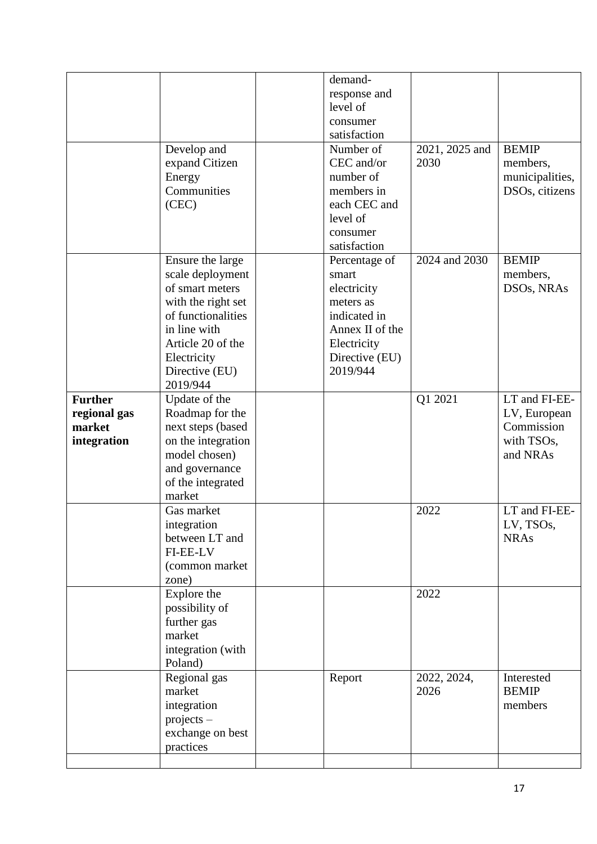|                                                         | Develop and<br>expand Citizen<br>Energy<br>Communities<br>(CEC)                                                                                                                       | demand-<br>response and<br>level of<br>consumer<br>satisfaction<br>Number of<br>CEC and/or<br>number of<br>members in<br>each CEC and<br>level of<br>consumer<br>satisfaction | 2021, 2025 and<br>2030 | <b>BEMIP</b><br>members,<br>municipalities,<br>DSOs, citizens         |
|---------------------------------------------------------|---------------------------------------------------------------------------------------------------------------------------------------------------------------------------------------|-------------------------------------------------------------------------------------------------------------------------------------------------------------------------------|------------------------|-----------------------------------------------------------------------|
|                                                         | Ensure the large<br>scale deployment<br>of smart meters<br>with the right set<br>of functionalities<br>in line with<br>Article 20 of the<br>Electricity<br>Directive (EU)<br>2019/944 | Percentage of<br>smart<br>electricity<br>meters as<br>indicated in<br>Annex II of the<br>Electricity<br>Directive (EU)<br>2019/944                                            | 2024 and 2030          | <b>BEMIP</b><br>members,<br>DSOs, NRAs                                |
| <b>Further</b><br>regional gas<br>market<br>integration | Update of the<br>Roadmap for the<br>next steps (based<br>on the integration<br>model chosen)<br>and governance<br>of the integrated<br>market                                         |                                                                                                                                                                               | Q1 2021                | LT and FI-EE-<br>LV, European<br>Commission<br>with TSOs,<br>and NRAs |
|                                                         | Gas market<br>integration<br>between LT and<br><b>FI-EE-LV</b><br>(common market<br>zone)                                                                                             |                                                                                                                                                                               | 2022                   | LT and FI-EE-<br>LV, TSOs,<br><b>NRAs</b>                             |
|                                                         | Explore the<br>possibility of<br>further gas<br>market<br>integration (with<br>Poland)                                                                                                |                                                                                                                                                                               | 2022                   |                                                                       |
|                                                         | Regional gas<br>market<br>integration<br>$projects -$<br>exchange on best<br>practices                                                                                                | Report                                                                                                                                                                        | 2022, 2024,<br>2026    | Interested<br><b>BEMIP</b><br>members                                 |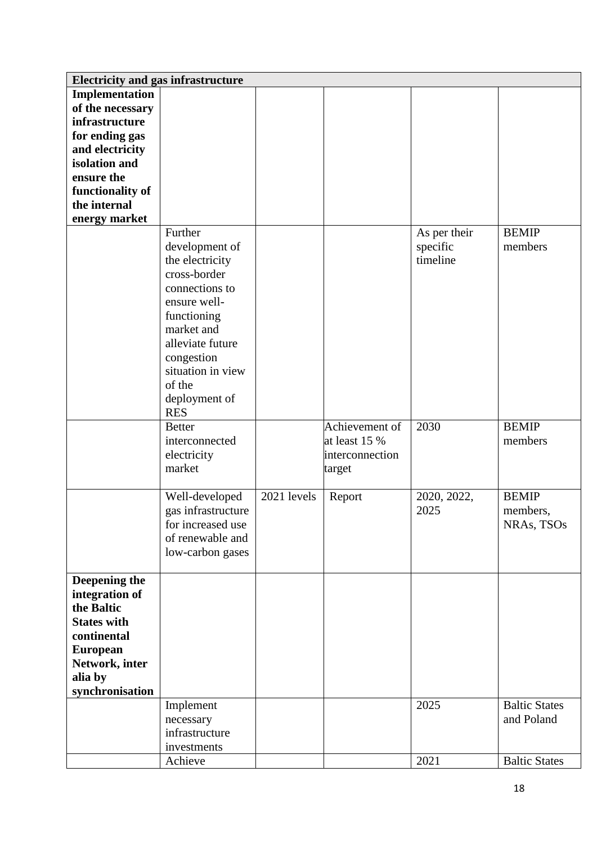| <b>Electricity and gas infrastructure</b> |                    |             |                 |              |                      |
|-------------------------------------------|--------------------|-------------|-----------------|--------------|----------------------|
| Implementation                            |                    |             |                 |              |                      |
| of the necessary                          |                    |             |                 |              |                      |
| infrastructure                            |                    |             |                 |              |                      |
| for ending gas                            |                    |             |                 |              |                      |
| and electricity                           |                    |             |                 |              |                      |
| isolation and                             |                    |             |                 |              |                      |
| ensure the                                |                    |             |                 |              |                      |
| functionality of                          |                    |             |                 |              |                      |
| the internal                              |                    |             |                 |              |                      |
| energy market                             |                    |             |                 |              |                      |
|                                           | Further            |             |                 |              | <b>BEMIP</b>         |
|                                           |                    |             |                 | As per their | members              |
|                                           | development of     |             |                 | specific     |                      |
|                                           | the electricity    |             |                 | timeline     |                      |
|                                           | cross-border       |             |                 |              |                      |
|                                           | connections to     |             |                 |              |                      |
|                                           | ensure well-       |             |                 |              |                      |
|                                           | functioning        |             |                 |              |                      |
|                                           | market and         |             |                 |              |                      |
|                                           | alleviate future   |             |                 |              |                      |
|                                           | congestion         |             |                 |              |                      |
|                                           | situation in view  |             |                 |              |                      |
|                                           | of the             |             |                 |              |                      |
|                                           | deployment of      |             |                 |              |                      |
|                                           | <b>RES</b>         |             |                 |              |                      |
|                                           | <b>Better</b>      |             | Achievement of  | 2030         | <b>BEMIP</b>         |
|                                           | interconnected     |             | at least 15 %   |              | members              |
|                                           | electricity        |             | interconnection |              |                      |
|                                           | market             |             | target          |              |                      |
|                                           |                    |             |                 |              |                      |
|                                           | Well-developed     | 2021 levels | Report          | 2020, 2022,  | <b>BEMIP</b>         |
|                                           | gas infrastructure |             |                 | 2025         | members,             |
|                                           | for increased use  |             |                 |              | NRAs, TSOs           |
|                                           | of renewable and   |             |                 |              |                      |
|                                           | low-carbon gases   |             |                 |              |                      |
|                                           |                    |             |                 |              |                      |
| Deepening the                             |                    |             |                 |              |                      |
| integration of                            |                    |             |                 |              |                      |
| the Baltic                                |                    |             |                 |              |                      |
| <b>States with</b>                        |                    |             |                 |              |                      |
| continental                               |                    |             |                 |              |                      |
| <b>European</b>                           |                    |             |                 |              |                      |
| Network, inter                            |                    |             |                 |              |                      |
| alia by                                   |                    |             |                 |              |                      |
| synchronisation                           |                    |             |                 |              |                      |
|                                           | Implement          |             |                 | 2025         | <b>Baltic States</b> |
|                                           | necessary          |             |                 |              | and Poland           |
|                                           | infrastructure     |             |                 |              |                      |
|                                           | investments        |             |                 |              |                      |
|                                           | Achieve            |             |                 | 2021         | <b>Baltic States</b> |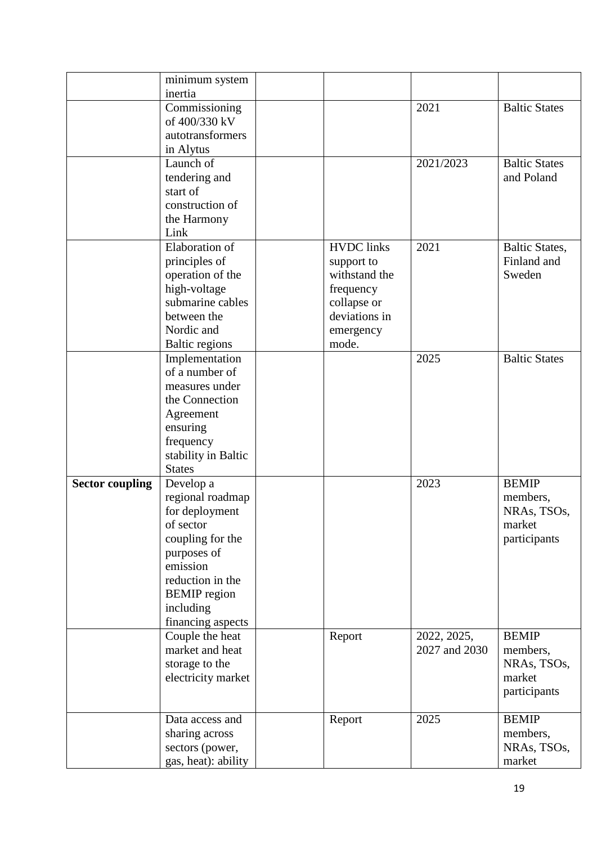|                        | minimum system                   |                   |               |                       |
|------------------------|----------------------------------|-------------------|---------------|-----------------------|
|                        | inertia<br>Commissioning         |                   | 2021          | <b>Baltic States</b>  |
|                        | of 400/330 kV                    |                   |               |                       |
|                        | autotransformers                 |                   |               |                       |
|                        | in Alytus                        |                   |               |                       |
|                        | Launch of                        |                   | 2021/2023     | <b>Baltic States</b>  |
|                        | tendering and                    |                   |               | and Poland            |
|                        | start of                         |                   |               |                       |
|                        | construction of                  |                   |               |                       |
|                        | the Harmony                      |                   |               |                       |
|                        | Link                             |                   |               |                       |
|                        | Elaboration of                   | <b>HVDC</b> links | 2021          | <b>Baltic States,</b> |
|                        | principles of                    | support to        |               | Finland and           |
|                        | operation of the                 | withstand the     |               | Sweden                |
|                        | high-voltage                     | frequency         |               |                       |
|                        | submarine cables                 | collapse or       |               |                       |
|                        | between the                      | deviations in     |               |                       |
|                        | Nordic and                       | emergency         |               |                       |
|                        | <b>Baltic regions</b>            | mode.             | 2025          | <b>Baltic States</b>  |
|                        | Implementation<br>of a number of |                   |               |                       |
|                        | measures under                   |                   |               |                       |
|                        | the Connection                   |                   |               |                       |
|                        | Agreement                        |                   |               |                       |
|                        | ensuring                         |                   |               |                       |
|                        | frequency                        |                   |               |                       |
|                        | stability in Baltic              |                   |               |                       |
|                        | <b>States</b>                    |                   |               |                       |
| <b>Sector coupling</b> | Develop a                        |                   | 2023          | <b>BEMIP</b>          |
|                        | regional roadmap                 |                   |               | members,              |
|                        | for deployment                   |                   |               | NRAs, TSOs,           |
|                        | of sector                        |                   |               | market                |
|                        | coupling for the                 |                   |               | participants          |
|                        | purposes of                      |                   |               |                       |
|                        | emission                         |                   |               |                       |
|                        | reduction in the                 |                   |               |                       |
|                        | <b>BEMIP</b> region              |                   |               |                       |
|                        | including                        |                   |               |                       |
|                        | financing aspects                |                   |               |                       |
|                        | Couple the heat                  | Report            | 2022, 2025,   | <b>BEMIP</b>          |
|                        | market and heat                  |                   | 2027 and 2030 | members,              |
|                        | storage to the                   |                   |               | NRAs, TSOs,           |
|                        | electricity market               |                   |               | market                |
|                        |                                  |                   |               | participants          |
|                        | Data access and                  | Report            | 2025          | <b>BEMIP</b>          |
|                        | sharing across                   |                   |               | members,              |
|                        | sectors (power,                  |                   |               | NRAs, TSOs,           |
|                        | gas, heat): ability              |                   |               | market                |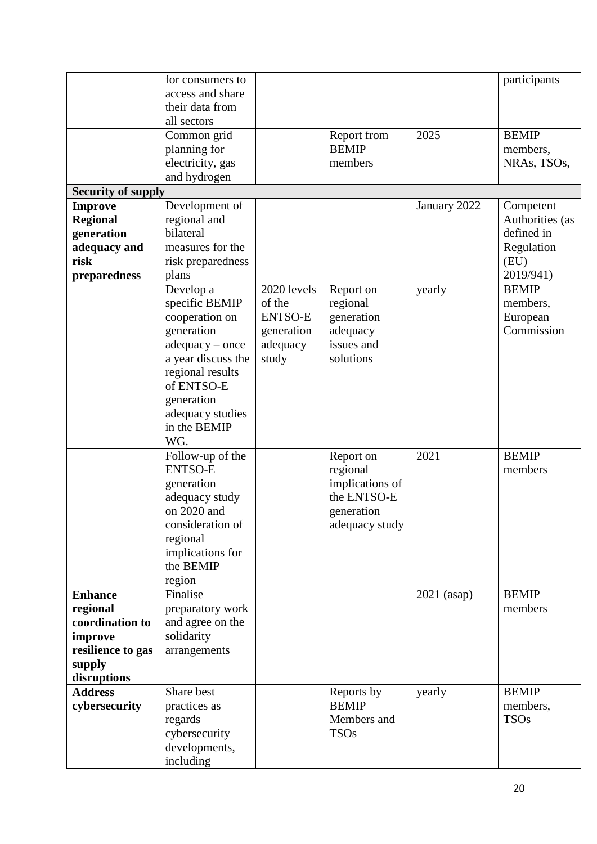|                           | for consumers to   |                |                            |               | participants            |
|---------------------------|--------------------|----------------|----------------------------|---------------|-------------------------|
|                           | access and share   |                |                            |               |                         |
|                           | their data from    |                |                            |               |                         |
|                           | all sectors        |                |                            |               |                         |
|                           | Common grid        |                | Report from                | 2025          | <b>BEMIP</b>            |
|                           | planning for       |                | <b>BEMIP</b>               |               | members,                |
|                           | electricity, gas   |                | members                    |               | NRAs, TSOs,             |
|                           | and hydrogen       |                |                            |               |                         |
| <b>Security of supply</b> |                    |                |                            |               |                         |
| <b>Improve</b>            | Development of     |                |                            | January 2022  | Competent               |
| <b>Regional</b>           | regional and       |                |                            |               | Authorities (as         |
| generation                | bilateral          |                |                            |               | defined in              |
| adequacy and              | measures for the   |                |                            |               | Regulation              |
| risk                      | risk preparedness  |                |                            |               | (EU)                    |
| preparedness              | plans              |                |                            |               | 2019/941)               |
|                           | Develop a          | 2020 levels    | Report on                  | yearly        | <b>BEMIP</b>            |
|                           | specific BEMIP     | of the         | regional                   |               | members,                |
|                           | cooperation on     | <b>ENTSO-E</b> | generation                 |               | European                |
|                           | generation         | generation     | adequacy                   |               | Commission              |
|                           | $adequacy - once$  | adequacy       | issues and                 |               |                         |
|                           | a year discuss the | study          | solutions                  |               |                         |
|                           | regional results   |                |                            |               |                         |
|                           | of ENTSO-E         |                |                            |               |                         |
|                           | generation         |                |                            |               |                         |
|                           | adequacy studies   |                |                            |               |                         |
|                           | in the BEMIP       |                |                            |               |                         |
|                           | WG.                |                |                            |               |                         |
|                           | Follow-up of the   |                | Report on                  | 2021          | <b>BEMIP</b>            |
|                           | <b>ENTSO-E</b>     |                | regional                   |               | members                 |
|                           | generation         |                | implications of            |               |                         |
|                           | adequacy study     |                | the ENTSO-E                |               |                         |
|                           | on 2020 and        |                | generation                 |               |                         |
|                           | consideration of   |                | adequacy study             |               |                         |
|                           | regional           |                |                            |               |                         |
|                           | implications for   |                |                            |               |                         |
|                           | the BEMIP          |                |                            |               |                         |
|                           | region             |                |                            |               |                         |
| <b>Enhance</b>            | Finalise           |                |                            | $2021$ (asap) | <b>BEMIP</b>            |
| regional                  | preparatory work   |                |                            |               | members                 |
| coordination to           | and agree on the   |                |                            |               |                         |
|                           | solidarity         |                |                            |               |                         |
| improve                   | arrangements       |                |                            |               |                         |
| resilience to gas         |                    |                |                            |               |                         |
| supply<br>disruptions     |                    |                |                            |               |                         |
| <b>Address</b>            | Share best         |                |                            |               | <b>BEMIP</b>            |
| cybersecurity             |                    |                | Reports by<br><b>BEMIP</b> | yearly        |                         |
|                           | practices as       |                | Members and                |               | members,<br><b>TSOs</b> |
|                           | regards            |                | <b>TSOs</b>                |               |                         |
|                           | cybersecurity      |                |                            |               |                         |
|                           | developments,      |                |                            |               |                         |
|                           | including          |                |                            |               |                         |